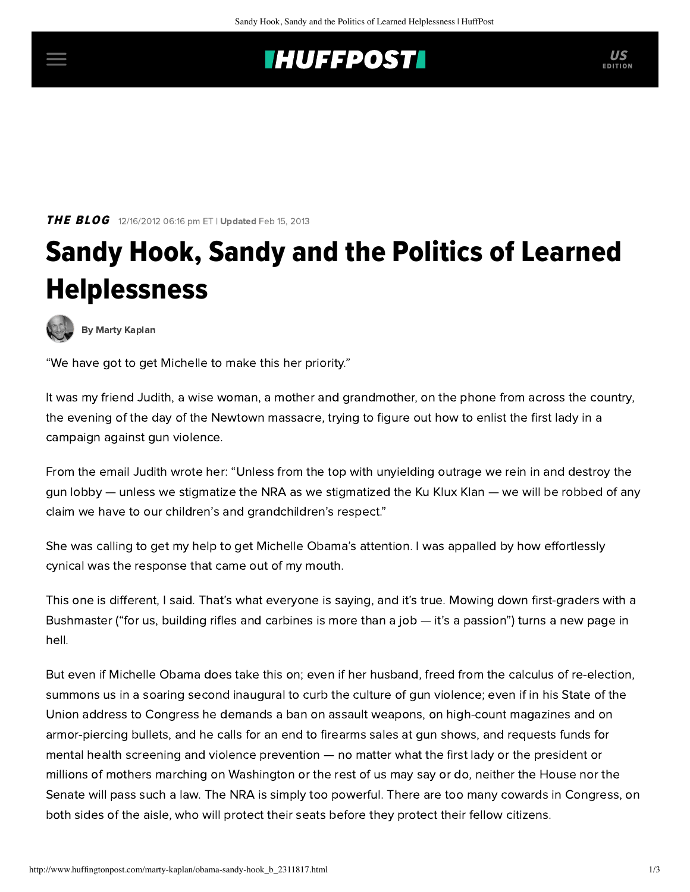## **INUFFPOST**

THE BLOG 12/16/2012 06:16 pm ET | Updated Feb 15, 2013

## Sandy Hook, Sandy and the Politics of Learned Helplessness

[By Marty Kaplan](http://www.huffingtonpost.com/author/marty-kaplan)

"We have got to get Michelle to make this her priority."

It was my friend Judith, a wise woman, a mother and grandmother, on the phone from across the country, the evening of the day of the Newtown massacre, trying to figure out how to enlist the first lady in a campaign against gun violence.

From the email Judith wrote her: "Unless from the top with unyielding outrage we rein in and destroy the gun lobby — unless we stigmatize the NRA as we stigmatized the Ku Klux Klan — we will be robbed of any claim we have to our children's and grandchildren's respect."

She was calling to get my help to get Michelle Obama's attention. I was appalled by how effortlessly cynical was the response that came out of my mouth.

This one is different, I said. That's what everyone is saying, and it's true. Mowing down first-graders with a [Bushmaster](http://www.bushmaster.com/world/our_world.asp) ("for us, building rifles and carbines is more than a job — it's a passion") turns a new page in hell.

But even if Michelle Obama does take this on; even if her husband, freed from the calculus of re-election, summons us in a soaring second inaugural to curb the culture of gun violence; even if in his State of the Union address to Congress he demands a ban on assault weapons, on high-count magazines and on armor-piercing bullets, and he calls for an end to firearms sales at gun shows, and requests funds for mental health screening and violence prevention — no matter what the first lady or the president or millions of mothers marching on Washington or the rest of us may say or do, neither the House nor the Senate will pass such a law. The NRA is simply too powerful. There are too many cowards in Congress, on both sides of the aisle, who will protect their seats before they protect their fellow citizens.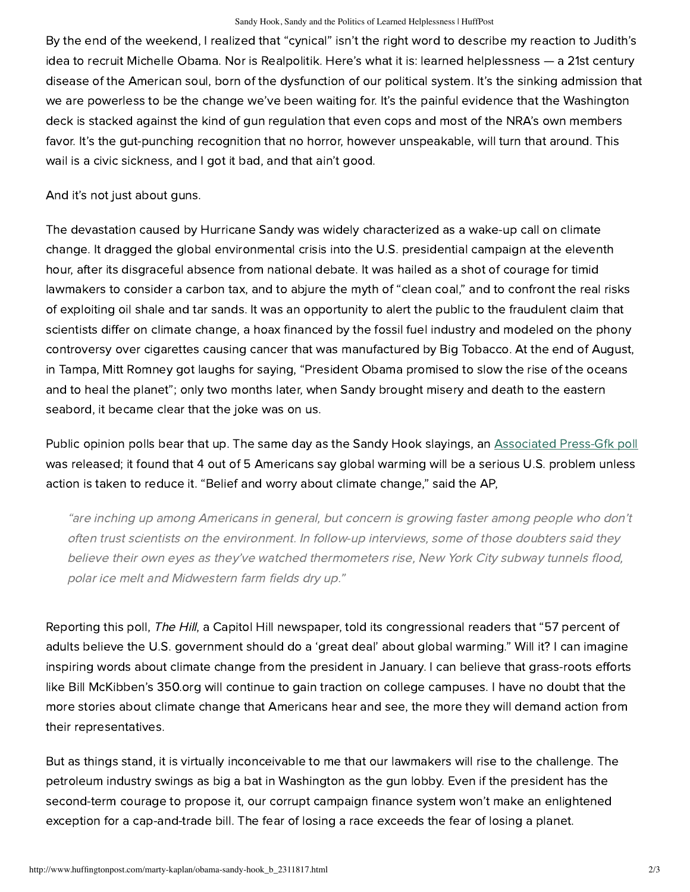By the end of the weekend, I realized that "cynical" isn't the right word to describe my reaction to Judith's idea to recruit Michelle Obama. Nor is Realpolitik. Here's what it is: learned helplessness — a 21st century disease of the American soul, born of the dysfunction of our political system. It's the sinking admission that we are powerless to be the change we've been waiting for. It's the painful evidence that the Washington deck is stacked against the kind of gun regulation that even cops and most of the NRA's own members favor. It's the gut-punching recognition that no horror, however unspeakable, will turn that around. This wail is a civic sickness, and I got it bad, and that ain't good.

And it's not just about guns.

The devastation caused by Hurricane Sandy was widely characterized as a wake-up call on climate change. It dragged the global environmental crisis into the U.S. presidential campaign at the eleventh hour, after its disgraceful absence from national debate. It was hailed as a shot of courage for timid lawmakers to consider a carbon tax, and to abjure the myth of "clean coal," and to confront the real risks of exploiting oil shale and tar sands. It was an opportunity to alert the public to the fraudulent claim that scientists differ on climate change, a hoax financed by the fossil fuel industry and modeled on the phony controversy over cigarettes causing cancer that was manufactured by Big Tobacco. At the end of August, in Tampa, Mitt Romney got laughs for saying, "President Obama promised to slow the rise of the oceans and to heal the planet"; only two months later, when Sandy brought misery and death to the eastern seabord, it became clear that the joke was on us.

Public opinion polls bear that up. The same day as the Sandy Hook slayings, an [Associated Press-G](http://bigstory.ap.org/article/ap-gfk-poll-science-doubters-say-world-warming)fk poll was released; it found that 4 out of 5 Americans say global warming will be a serious U.S. problem unless action is taken to reduce it. "Belief and worry about climate change," said the AP,

"are inching up among Americans in general, but concern is growing faster among people who don't often trust scientists on the environment. In follow-up interviews, some of those doubters said they believe their own eyes as they've watched thermometers rise, New York City subway tunnels flood, polar ice melt and Midwestern farm fields dry up."

[Reporting this poll](http://thehill.com/blogs/e2-wire/e2-wire/272969-poll-4-out-of-5-call-climate-change-a-serious-us-problem), The Hill, a Capitol Hill newspaper, told its congressional readers that "57 percent of adults believe the U.S. government should do a 'great deal' about global warming." Will it? I can imagine inspiring words about climate change from the president in January. I can believe that grass-roots efforts like Bill McKibben's [350.org](http://www.350.org/) will continue to gain traction on college campuses. I have no doubt that the more stories about climate change that Americans hear and see, the more they will demand action from their representatives.

But as things stand, it is virtually inconceivable to me that our lawmakers will rise to the challenge. The petroleum industry swings as big a bat in Washington as the gun lobby. Even if the president has the second-term courage to propose it, our corrupt campaign finance system won't make an enlightened exception for a cap-and-trade bill. The fear of losing a race exceeds the fear of losing a planet.